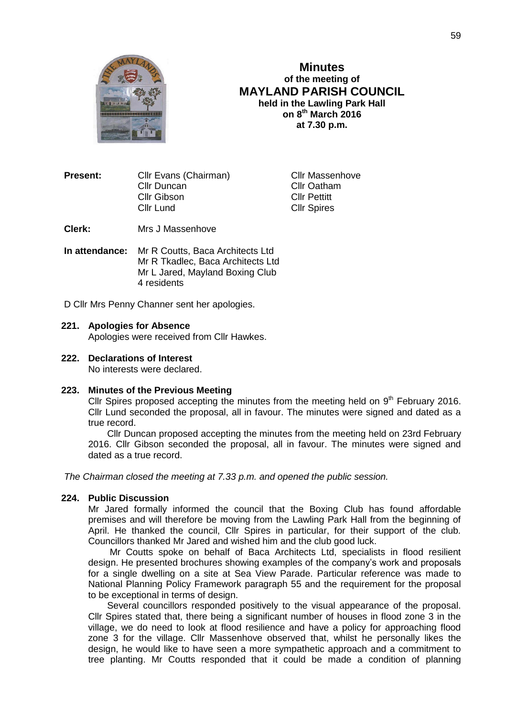

# **Minutes of the meeting of MAYLAND PARISH COUNCIL held in the Lawling Park Hall on 8 th March 2016 at 7.30 p.m.**

| <b>Present:</b> | Cllr Evans (Chairman) | <b>Cllr Massenhove</b> |
|-----------------|-----------------------|------------------------|
|                 | Cllr Duncan           | Cllr Oatham            |
|                 | Cllr Gibson           | <b>Clir Pettitt</b>    |
|                 | Cllr Lund             | <b>Cllr Spires</b>     |
|                 |                       |                        |

**Clerk:** Mrs J Massenhove

**In attendance:** Mr R Coutts, Baca Architects Ltd Mr R Tkadlec, Baca Architects Ltd Mr L Jared, Mayland Boxing Club 4 residents

D Cllr Mrs Penny Channer sent her apologies.

# **221. Apologies for Absence**

Apologies were received from Cllr Hawkes.

# **222. Declarations of Interest**

No interests were declared.

#### **223. Minutes of the Previous Meeting**

Cllr Spires proposed accepting the minutes from the meeting held on  $9<sup>th</sup>$  February 2016. Cllr Lund seconded the proposal, all in favour. The minutes were signed and dated as a true record.

Cllr Duncan proposed accepting the minutes from the meeting held on 23rd February 2016. Cllr Gibson seconded the proposal, all in favour. The minutes were signed and dated as a true record.

*The Chairman closed the meeting at 7.33 p.m. and opened the public session.*

#### **224. Public Discussion**

Mr Jared formally informed the council that the Boxing Club has found affordable premises and will therefore be moving from the Lawling Park Hall from the beginning of April. He thanked the council, Cllr Spires in particular, for their support of the club. Councillors thanked Mr Jared and wished him and the club good luck.

Mr Coutts spoke on behalf of Baca Architects Ltd, specialists in flood resilient design. He presented brochures showing examples of the company's work and proposals for a single dwelling on a site at Sea View Parade. Particular reference was made to National Planning Policy Framework paragraph 55 and the requirement for the proposal to be exceptional in terms of design.

Several councillors responded positively to the visual appearance of the proposal. Cllr Spires stated that, there being a significant number of houses in flood zone 3 in the village, we do need to look at flood resilience and have a policy for approaching flood zone 3 for the village. Cllr Massenhove observed that, whilst he personally likes the design, he would like to have seen a more sympathetic approach and a commitment to tree planting. Mr Coutts responded that it could be made a condition of planning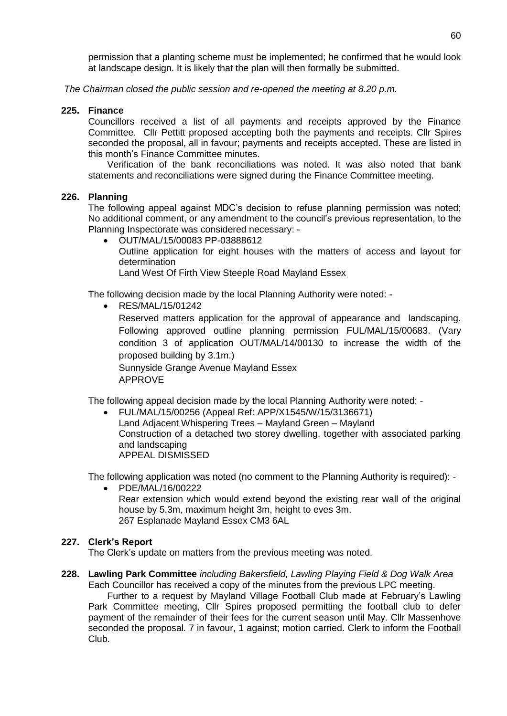permission that a planting scheme must be implemented; he confirmed that he would look at landscape design. It is likely that the plan will then formally be submitted.

*The Chairman closed the public session and re-opened the meeting at 8.20 p.m.*

### **225. Finance**

Councillors received a list of all payments and receipts approved by the Finance Committee. Cllr Pettitt proposed accepting both the payments and receipts. Cllr Spires seconded the proposal, all in favour; payments and receipts accepted. These are listed in this month's Finance Committee minutes.

Verification of the bank reconciliations was noted. It was also noted that bank statements and reconciliations were signed during the Finance Committee meeting.

# **226. Planning**

The following appeal against MDC's decision to refuse planning permission was noted; No additional comment, or any amendment to the council's previous representation, to the Planning Inspectorate was considered necessary: -

 OUT/MAL/15/00083 PP-03888612 Outline application for eight houses with the matters of access and layout for determination Land West Of Firth View Steeple Road Mayland Essex

The following decision made by the local Planning Authority were noted: -

RES/MAL/15/01242

Reserved matters application for the approval of appearance and landscaping. Following approved outline planning permission FUL/MAL/15/00683. (Vary condition 3 of application OUT/MAL/14/00130 to increase the width of the proposed building by 3.1m.)

Sunnyside Grange Avenue Mayland Essex APPROVE

The following appeal decision made by the local Planning Authority were noted: -

 FUL/MAL/15/00256 (Appeal Ref: APP/X1545/W/15/3136671) Land Adjacent Whispering Trees – Mayland Green – Mayland Construction of a detached two storey dwelling, together with associated parking and landscaping APPEAL DISMISSED

The following application was noted (no comment to the Planning Authority is required): -

• PDE/MAL/16/00222 Rear extension which would extend beyond the existing rear wall of the original house by 5.3m, maximum height 3m, height to eves 3m. 267 Esplanade Mayland Essex CM3 6AL

#### **227. Clerk's Report**

The Clerk's update on matters from the previous meeting was noted.

**228. Lawling Park Committee** *including Bakersfield, Lawling Playing Field & Dog Walk Area* Each Councillor has received a copy of the minutes from the previous LPC meeting.

Further to a request by Mayland Village Football Club made at February's Lawling Park Committee meeting, Cllr Spires proposed permitting the football club to defer payment of the remainder of their fees for the current season until May. Cllr Massenhove seconded the proposal. 7 in favour, 1 against; motion carried. Clerk to inform the Football Club.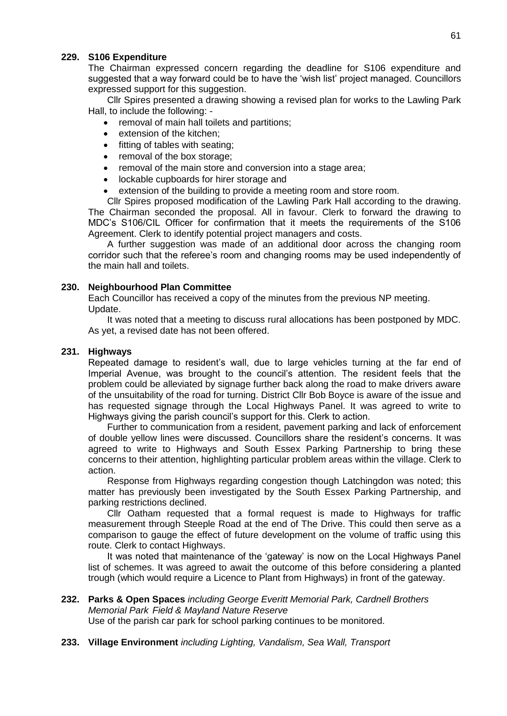# **229. S106 Expenditure**

The Chairman expressed concern regarding the deadline for S106 expenditure and suggested that a way forward could be to have the 'wish list' project managed. Councillors expressed support for this suggestion.

Cllr Spires presented a drawing showing a revised plan for works to the Lawling Park Hall, to include the following: -

- removal of main hall toilets and partitions;
- extension of the kitchen;
- fitting of tables with seating:
- removal of the box storage:
- removal of the main store and conversion into a stage area;
- lockable cupboards for hirer storage and
- extension of the building to provide a meeting room and store room.

Cllr Spires proposed modification of the Lawling Park Hall according to the drawing. The Chairman seconded the proposal. All in favour. Clerk to forward the drawing to MDC's S106/CIL Officer for confirmation that it meets the requirements of the S106 Agreement. Clerk to identify potential project managers and costs.

A further suggestion was made of an additional door across the changing room corridor such that the referee's room and changing rooms may be used independently of the main hall and toilets.

# **230. Neighbourhood Plan Committee**

Each Councillor has received a copy of the minutes from the previous NP meeting. Update.

It was noted that a meeting to discuss rural allocations has been postponed by MDC. As yet, a revised date has not been offered.

#### **231. Highways**

Repeated damage to resident's wall, due to large vehicles turning at the far end of Imperial Avenue, was brought to the council's attention. The resident feels that the problem could be alleviated by signage further back along the road to make drivers aware of the unsuitability of the road for turning. District Cllr Bob Boyce is aware of the issue and has requested signage through the Local Highways Panel. It was agreed to write to Highways giving the parish council's support for this. Clerk to action.

Further to communication from a resident, pavement parking and lack of enforcement of double yellow lines were discussed. Councillors share the resident's concerns. It was agreed to write to Highways and South Essex Parking Partnership to bring these concerns to their attention, highlighting particular problem areas within the village. Clerk to action.

Response from Highways regarding congestion though Latchingdon was noted; this matter has previously been investigated by the South Essex Parking Partnership, and parking restrictions declined.

Cllr Oatham requested that a formal request is made to Highways for traffic measurement through Steeple Road at the end of The Drive. This could then serve as a comparison to gauge the effect of future development on the volume of traffic using this route. Clerk to contact Highways.

It was noted that maintenance of the 'gateway' is now on the Local Highways Panel list of schemes. It was agreed to await the outcome of this before considering a planted trough (which would require a Licence to Plant from Highways) in front of the gateway.

- **232. Parks & Open Spaces** *including George Everitt Memorial Park, Cardnell Brothers Memorial Park Field & Mayland Nature Reserve* Use of the parish car park for school parking continues to be monitored.
- **233. Village Environment** *including Lighting, Vandalism, Sea Wall, Transport*